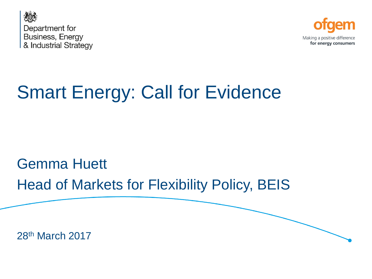



## Smart Energy: Call for Evidence

## Gemma Huett Head of Markets for Flexibility Policy, BEIS

28th March 2017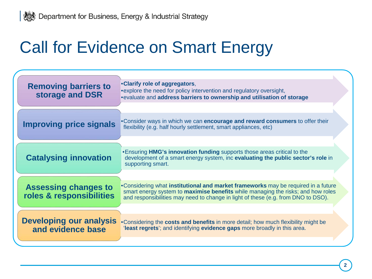## Call for Evidence on Smart Energy

| <b>Removing barriers to</b><br>storage and DSR          | .Clarify role of aggregators,<br>• explore the need for policy intervention and regulatory oversight,<br>. evaluate and address barriers to ownership and utilisation of storage                                                                                   |
|---------------------------------------------------------|--------------------------------------------------------------------------------------------------------------------------------------------------------------------------------------------------------------------------------------------------------------------|
| <b>Improving price signals</b>                          | . Consider ways in which we can encourage and reward consumers to offer their<br>flexibility (e.g. half hourly settlement, smart appliances, etc)                                                                                                                  |
| <b>Catalysing innovation</b>                            | . Ensuring HMG's innovation funding supports those areas critical to the<br>development of a smart energy system, inc evaluating the public sector's role in<br>supporting smart.                                                                                  |
| <b>Assessing changes to</b><br>roles & responsibilities | . Considering what institutional and market frameworks may be required in a future<br>smart energy system to <b>maximise benefits</b> while managing the risks; and how roles<br>and responsibilities may need to change in light of these (e.g. from DNO to DSO). |
| <b>Developing our analysis</b><br>and evidence base     | •Considering the costs and benefits in more detail; how much flexibility might be<br>'least regrets'; and identifying evidence gaps more broadly in this area.                                                                                                     |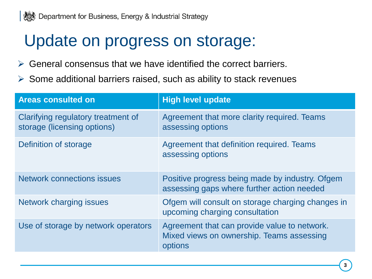## Update on progress on storage:

- $\triangleright$  General consensus that we have identified the correct barriers.
- $\triangleright$  Some additional barriers raised, such as ability to stack revenues

| <b>Areas consulted on</b>                                         | <b>High level update</b>                                                                             |
|-------------------------------------------------------------------|------------------------------------------------------------------------------------------------------|
| Clarifying regulatory treatment of<br>storage (licensing options) | Agreement that more clarity required. Teams<br>assessing options                                     |
| Definition of storage                                             | Agreement that definition required. Teams<br>assessing options                                       |
| <b>Network connections issues</b>                                 | Positive progress being made by industry. Ofgem<br>assessing gaps where further action needed        |
| <b>Network charging issues</b>                                    | Ofgem will consult on storage charging changes in<br>upcoming charging consultation                  |
| Use of storage by network operators                               | Agreement that can provide value to network.<br>Mixed views on ownership. Teams assessing<br>options |